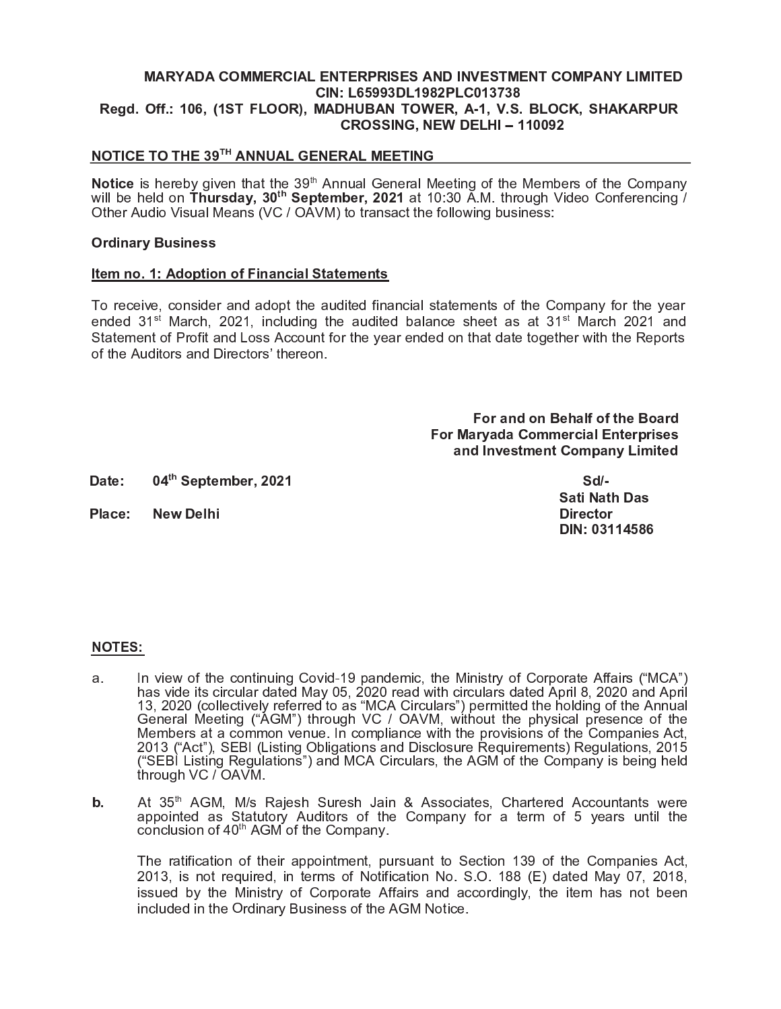## **MARYADA COMMERCIAL ENTERPRISES AND INVESTMENT COMPANY LIMITED** CIN: L65993DL1982PLC013738 Regd. Off.: 106, (1ST FLOOR), MADHUBAN TOWER, A-1, V.S. BLOCK, SHAKARPUR **CROSSING, NEW DELHI-110092**

## NOTICE TO THE 39TH ANNUAL GENERAL MEETING

Notice is hereby given that the 39<sup>th</sup> Annual General Meeting of the Members of the Company will be held on Thursday, 30<sup>th</sup> September, 2021 at 10:30 A.M. through Video Conferencing / Other Audio Visual Means (VC / OAVM) to transact the following business:

#### **Ordinary Business**

#### Item no. 1: Adoption of Financial Statements

To receive, consider and adopt the audited financial statements of the Company for the year ended 31<sup>st</sup> March, 2021, including the audited balance sheet as at 31<sup>st</sup> March 2021 and Statement of Profit and Loss Account for the year ended on that date together with the Reports of the Auditors and Directors' thereon.

> For and on Behalf of the Board **For Maryada Commercial Enterprises** and Investment Company Limited

04th September, 2021 Date:

Place: **New Delhi** 

 $Sd$ -**Sati Nath Das Director** DIN: 03114586

#### **NOTES:**

- In view of the continuing Covid-19 pandemic, the Ministry of Corporate Affairs ("MCA") a. has vide its circular dated May 05, 2020 read with circulars dated April 8, 2020 and April<br>13, 2020 (collectively referred to as "MCA Circulars") permitted the holding of the Annual<br>General Meeting ("AGM") through VC / OAV 2013 ("Act"), SEBI (Listing Obligations and Disclosure Requirements) Regulations, 2015 ("SEBI Listing Regulations") and MCA Circulars, the AGM of the Company is being held through VC / OAVM.
- At 35<sup>th</sup> AGM, M/s Rajesh Suresh Jain & Associates, Chartered Accountants were b. appointed as Statutory Auditors of the Company for a term of 5 years until the conclusion of 40<sup>th</sup> AGM of the Company.

The ratification of their appointment, pursuant to Section 139 of the Companies Act, 2013, is not required, in terms of Notification No. S.O. 188 (E) dated May 07, 2018, issued by the Ministry of Corporate Affairs and accordingly, the item has not been included in the Ordinary Business of the AGM Notice.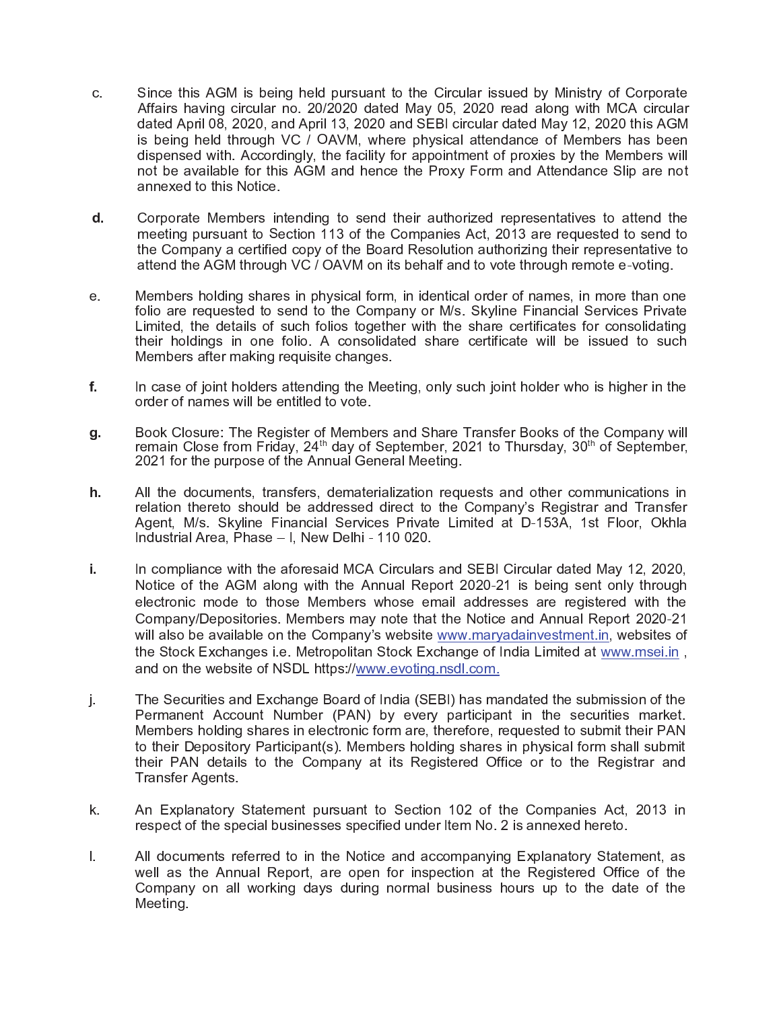- Since this AGM is being held pursuant to the Circular issued by Ministry of Corporate  $C_{-}$ Affairs having circular no. 20/2020 dated May 05, 2020 read along with MCA circular dated April 08, 2020, and April 13, 2020 and SEBI circular dated May 12, 2020 this AGM is being held through VC / OAVM, where physical attendance of Members has been dispensed with. Accordingly, the facility for appointment of proxies by the Members will not be available for this AGM and hence the Proxy Form and Attendance Slip are not annexed to this Notice.
- Corporate Members intending to send their authorized representatives to attend the d. meeting pursuant to Section 113 of the Companies Act, 2013 are requested to send to the Company a certified copy of the Board Resolution authorizing their representative to attend the AGM through VC / OAVM on its behalf and to vote through remote e-voting.
- Members holding shares in physical form, in identical order of names, in more than one  $e_{.}$ folio are requested to send to the Company or M/s. Skyline Financial Services Private Limited, the details of such folios together with the share certificates for consolidating their holdings in one folio. A consolidated share certificate will be issued to such Members after making requisite changes.
- f. In case of joint holders attending the Meeting, only such joint holder who is higher in the order of names will be entitled to vote.
- Book Closure: The Register of Members and Share Transfer Books of the Company will g. remain Close from Friday, 24<sup>th</sup> day of September, 2021 to Thursday, 30<sup>th</sup> of September, 2021 for the purpose of the Annual General Meeting.
- h. All the documents, transfers, dematerialization requests and other communications in relation thereto should be addressed direct to the Company's Registrar and Transfer Agent, M/s. Skyline Financial Services Private Limited at D-153A, 1st Floor, Okhla Industrial Area, Phase - I, New Delhi - 110 020.
- In compliance with the aforesaid MCA Circulars and SEBI Circular dated May 12, 2020, j. Notice of the AGM along with the Annual Report 2020-21 is being sent only through electronic mode to those Members whose email addresses are registered with the Company/Depositories. Members may note that the Notice and Annual Report 2020-21 will also be available on the Company's website www.maryadainvestment.in, websites of the Stock Exchanges i.e. Metropolitan Stock Exchange of India Limited at www.msei.in, and on the website of NSDL https://www.evoting.nsdl.com.
- The Securities and Exchange Board of India (SEBI) has mandated the submission of the j. Permanent Account Number (PAN) by every participant in the securities market. Members holding shares in electronic form are, therefore, requested to submit their PAN to their Depository Participant(s). Members holding shares in physical form shall submit their PAN details to the Company at its Registered Office or to the Registrar and Transfer Agents.
- An Explanatory Statement pursuant to Section 102 of the Companies Act, 2013 in k. respect of the special businesses specified under Item No. 2 is annexed hereto.
- All documents referred to in the Notice and accompanying Explanatory Statement, as  $\mathbf{L}$ well as the Annual Report, are open for inspection at the Registered Office of the Company on all working days during normal business hours up to the date of the Meeting.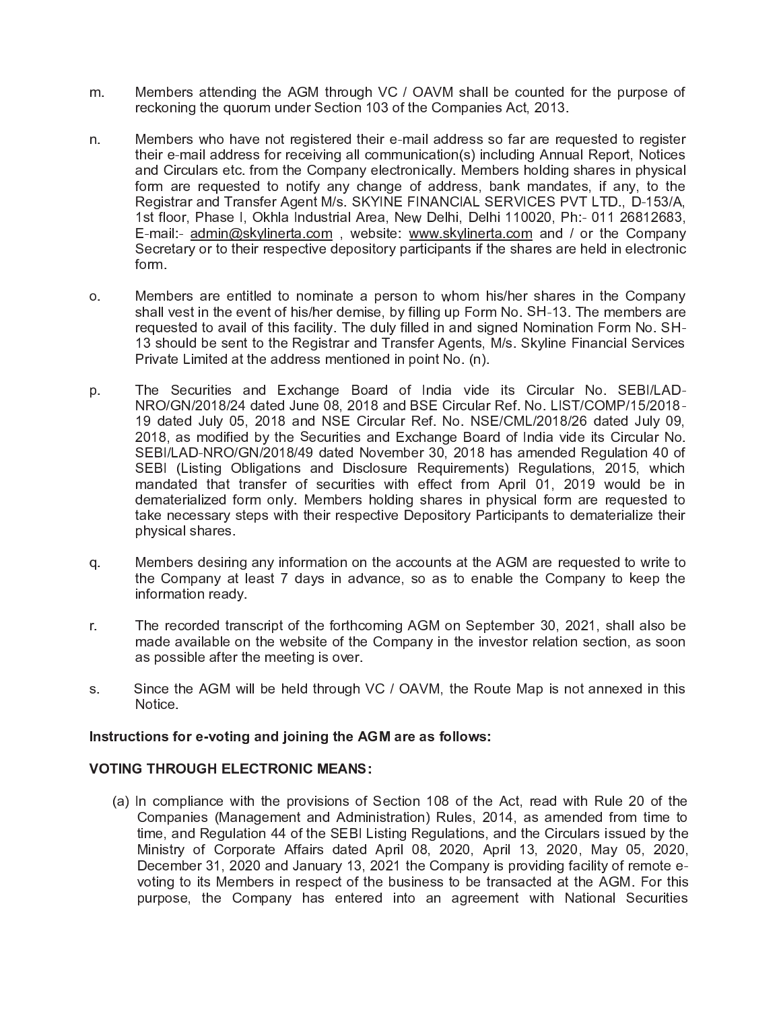- Members attending the AGM through VC / OAVM shall be counted for the purpose of m. reckoning the quorum under Section 103 of the Companies Act, 2013.
- Members who have not registered their e-mail address so far are requested to register n. their e-mail address for receiving all communication(s) including Annual Report, Notices and Circulars etc. from the Company electronically. Members holding shares in physical form are requested to notify any change of address, bank mandates, if any, to the Registrar and Transfer Agent M/s. SKYINE FINANCIAL SERVICES PVT LTD., D-153/A, 1st floor, Phase I, Okhla Industrial Area, New Delhi, Delhi 110020, Ph:- 011 26812683, E-mail:- admin@skylinerta.com, website: www.skylinerta.com and / or the Company Secretary or to their respective depository participants if the shares are held in electronic form.
- Members are entitled to nominate a person to whom his/her shares in the Company  $O<sub>x</sub>$ shall vest in the event of his/her demise, by filling up Form No. SH-13. The members are requested to avail of this facility. The duly filled in and signed Nomination Form No. SH-13 should be sent to the Registrar and Transfer Agents, M/s. Skyline Financial Services Private Limited at the address mentioned in point No. (n).
- The Securities and Exchange Board of India vide its Circular No. SEBI/LADp. NRO/GN/2018/24 dated June 08, 2018 and BSE Circular Ref. No. LIST/COMP/15/2018-19 dated July 05, 2018 and NSE Circular Ref. No. NSE/CML/2018/26 dated July 09. 2018, as modified by the Securities and Exchange Board of India vide its Circular No. SEBI/LAD-NRO/GN/2018/49 dated November 30, 2018 has amended Regulation 40 of SEBI (Listing Obligations and Disclosure Requirements) Regulations, 2015, which mandated that transfer of securities with effect from April 01, 2019 would be in dematerialized form only. Members holding shares in physical form are requested to take necessary steps with their respective Depository Participants to dematerialize their physical shares
- Members desiring any information on the accounts at the AGM are requested to write to q. the Company at least 7 days in advance, so as to enable the Company to keep the information ready.
- The recorded transcript of the forthcoming AGM on September 30, 2021, shall also be r. made available on the website of the Company in the investor relation section, as soon as possible after the meeting is over.
- Since the AGM will be held through VC / OAVM, the Route Map is not annexed in this S. Notice.

## Instructions for e-voting and joining the AGM are as follows:

## **VOTING THROUGH ELECTRONIC MEANS:**

(a) In compliance with the provisions of Section 108 of the Act, read with Rule 20 of the Companies (Management and Administration) Rules, 2014, as amended from time to time, and Regulation 44 of the SEBI Listing Regulations, and the Circulars issued by the Ministry of Corporate Affairs dated April 08, 2020, April 13, 2020, May 05, 2020, December 31, 2020 and January 13, 2021 the Company is providing facility of remote evoting to its Members in respect of the business to be transacted at the AGM. For this purpose, the Company has entered into an agreement with National Securities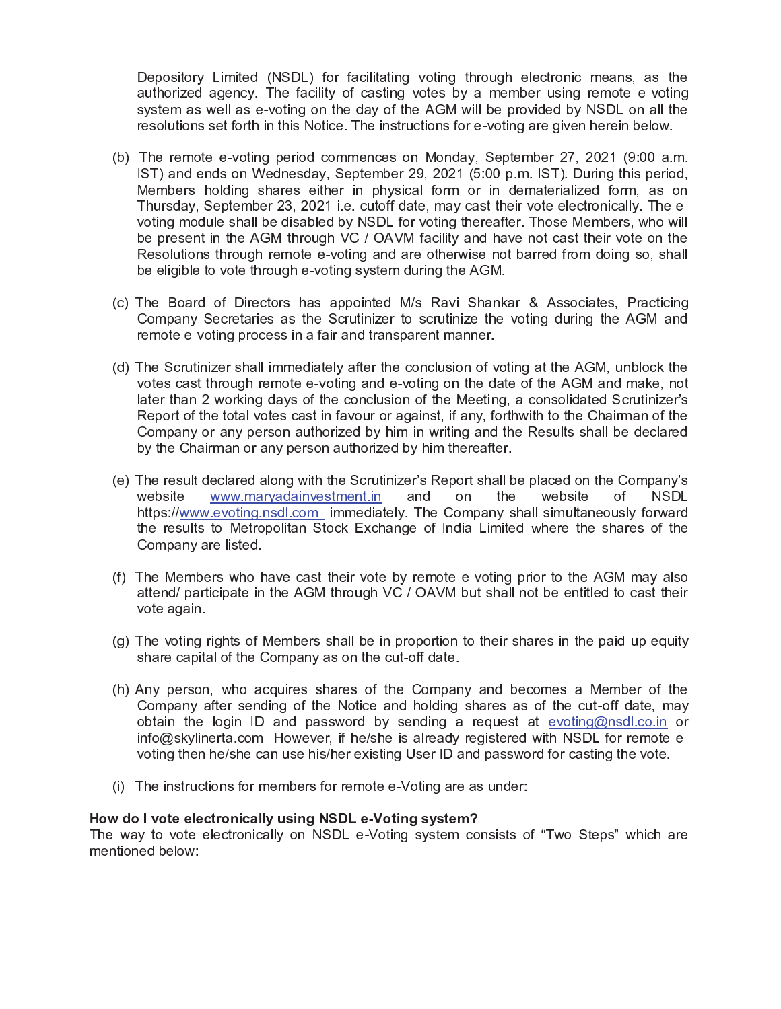Depository Limited (NSDL) for facilitating voting through electronic means, as the authorized agency. The facility of casting votes by a member using remote e-voting system as well as e-voting on the day of the AGM will be provided by NSDL on all the resolutions set forth in this Notice. The instructions for e-voting are given herein below.

- (b) The remote e-voting period commences on Monday, September 27, 2021 (9:00 a.m. IST) and ends on Wednesday, September 29, 2021 (5:00 p.m. IST). During this period, Members holding shares either in physical form or in dematerialized form, as on Thursday, September 23, 2021 i.e. cutoff date, may cast their vote electronically. The evoting module shall be disabled by NSDL for voting thereafter. Those Members, who will be present in the AGM through VC / OAVM facility and have not cast their vote on the Resolutions through remote e-voting and are otherwise not barred from doing so, shall be eligible to vote through e-voting system during the AGM.
- (c) The Board of Directors has appointed M/s Ravi Shankar & Associates, Practicing Company Secretaries as the Scrutinizer to scrutinize the voting during the AGM and remote e-voting process in a fair and transparent manner.
- (d) The Scrutinizer shall immediately after the conclusion of voting at the AGM, unblock the votes cast through remote e-voting and e-voting on the date of the AGM and make, not later than 2 working days of the conclusion of the Meeting, a consolidated Scrutinizer's Report of the total votes cast in favour or against, if any, forthwith to the Chairman of the Company or any person authorized by him in writing and the Results shall be declared by the Chairman or any person authorized by him thereafter.
- (e) The result declared along with the Scrutinizer's Report shall be placed on the Company's website www.maryadainvestment.in and on the website of **NSDL** https://www.evoting.nsdl.com immediately. The Company shall simultaneously forward the results to Metropolitan Stock Exchange of India Limited where the shares of the Company are listed.
- (f) The Members who have cast their vote by remote e-voting prior to the AGM may also attend/ participate in the AGM through VC / OAVM but shall not be entitled to cast their vote again.
- (g) The voting rights of Members shall be in proportion to their shares in the paid-up equity share capital of the Company as on the cut-off date.
- (h) Any person, who acquires shares of the Company and becomes a Member of the Company after sending of the Notice and holding shares as of the cut-off date, may obtain the login ID and password by sending a request at evoting@nsdl.co.in or info@skylinerta.com However, if he/she is already registered with NSDL for remote evoting then he/she can use his/her existing User ID and password for casting the vote.
- (i) The instructions for members for remote e-Voting are as under:

#### How do I vote electronically using NSDL e-Voting system?

The way to vote electronically on NSDL e-Voting system consists of "Two Steps" which are mentioned below: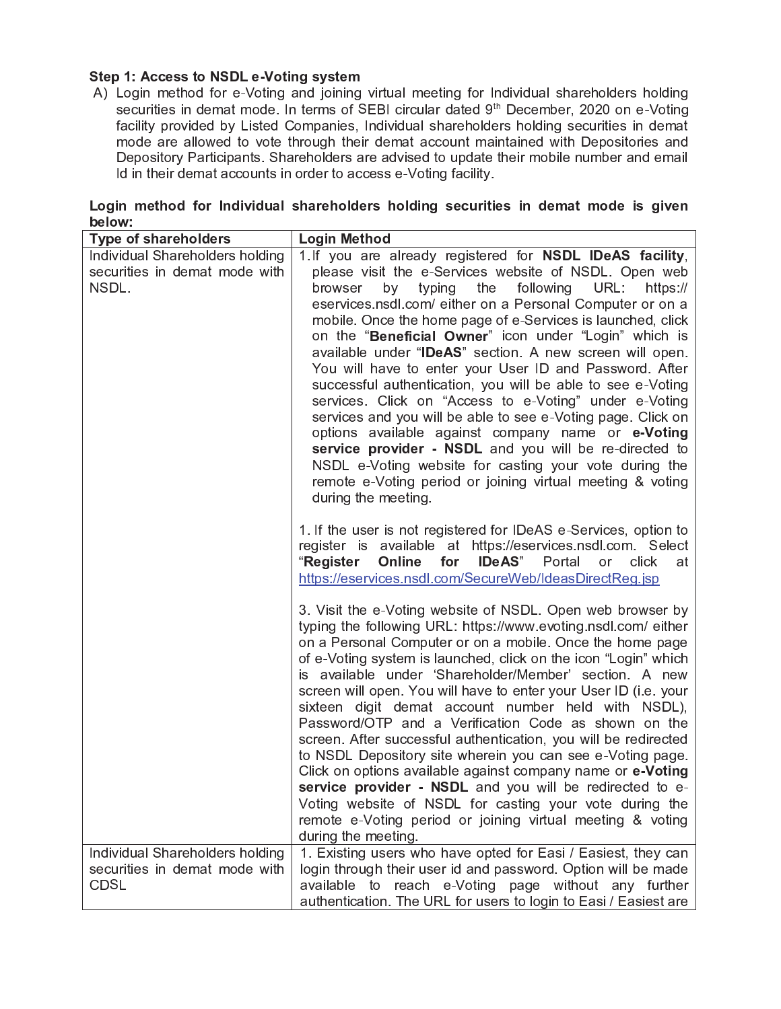## Step 1: Access to NSDL e-Voting system

A) Login method for e-Voting and joining virtual meeting for Individual shareholders holding securities in demat mode. In terms of SEBI circular dated 9<sup>th</sup> December, 2020 on e-Voting facility provided by Listed Companies, Individual shareholders holding securities in demat mode are allowed to vote through their demat account maintained with Depositories and Depository Participants. Shareholders are advised to update their mobile number and email Id in their demat accounts in order to access e-Voting facility.

| المعمادا مماجعهما مرقم الممسكا                                                     | المحملة مالا والمحامل |  |  |
|------------------------------------------------------------------------------------|-----------------------|--|--|
| below:                                                                             |                       |  |  |
| Login method for Individual shareholders holding securities in demat mode is given |                       |  |  |

| Type of shareholders                                                            | Login Method                                                                                                                                                                                                                                                                                                                                                                                                                                                                                                                                                                                                                                                                                                                                                                                                                                                                                                                                           |
|---------------------------------------------------------------------------------|--------------------------------------------------------------------------------------------------------------------------------------------------------------------------------------------------------------------------------------------------------------------------------------------------------------------------------------------------------------------------------------------------------------------------------------------------------------------------------------------------------------------------------------------------------------------------------------------------------------------------------------------------------------------------------------------------------------------------------------------------------------------------------------------------------------------------------------------------------------------------------------------------------------------------------------------------------|
| Individual Shareholders holding<br>securities in demat mode with<br>NSDL.       | 1. If you are already registered for NSDL IDeAS facility,<br>please visit the e-Services website of NSDL. Open web<br>following URL:<br>by<br>typing<br>the<br>browser<br>https://<br>eservices nsdl.com/ either on a Personal Computer or on a<br>mobile. Once the home page of e-Services is launched, click<br>on the "Beneficial Owner" icon under "Login" which is<br>available under "IDeAS" section. A new screen will open.<br>You will have to enter your User ID and Password. After<br>successful authentication, you will be able to see e-Voting<br>services. Click on "Access to e-Voting" under e-Voting<br>services and you will be able to see e-Voting page. Click on<br>options available against company name or e-Voting<br>service provider - NSDL and you will be re-directed to<br>NSDL e-Voting website for casting your vote during the<br>remote e-Voting period or joining virtual meeting & voting<br>during the meeting. |
|                                                                                 | 1. If the user is not registered for IDeAS e-Services, option to<br>register is available at https://eservices.nsdl.com. Select<br><b>IDeAS</b> "<br>"Register<br>Online<br>for<br>Portal<br>click<br><b>or</b><br>at<br>https://eservices.nsdl.com/SecureWeb/IdeasDirectReg.jsp                                                                                                                                                                                                                                                                                                                                                                                                                                                                                                                                                                                                                                                                       |
|                                                                                 | 3. Visit the e-Voting website of NSDL. Open web browser by<br>typing the following URL: https://www.evoting.nsdl.com/ either<br>on a Personal Computer or on a mobile. Once the home page<br>of e-Voting system is launched, click on the icon "Login" which<br>is available under 'Shareholder/Member' section. A new<br>screen will open. You will have to enter your User ID (i.e. your<br>sixteen digit demat account number held with NSDL),<br>Password/OTP and a Verification Code as shown on the<br>screen. After successful authentication, you will be redirected<br>to NSDL Depository site wherein you can see e-Voting page.<br>Click on options available against company name or e-Voting<br>service provider - NSDL and you will be redirected to e-<br>Voting website of NSDL for casting your vote during the<br>remote e-Voting period or joining virtual meeting & voting<br>during the meeting.                                  |
| Individual Shareholders holding<br>securities in demat mode with<br><b>CDSL</b> | 1. Existing users who have opted for Easi / Easiest, they can<br>login through their user id and password. Option will be made<br>available to reach e-Voting page without any further<br>authentication. The URL for users to login to Easi / Easiest are                                                                                                                                                                                                                                                                                                                                                                                                                                                                                                                                                                                                                                                                                             |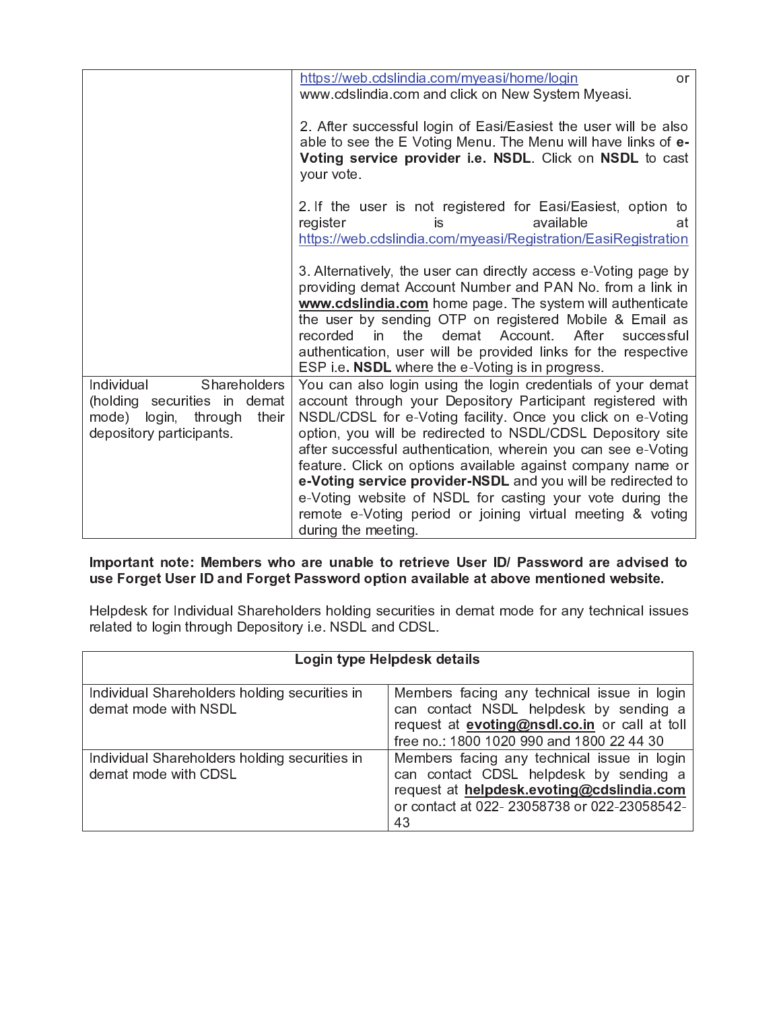|                                                                                                                            | https://web.cdslindia.com/myeasi/home/login<br>or<br>www.cdslindia.com and click on New System Myeasi.                                                                                                                                                                                                                                                                                                                                                                                                                                                                                                      |
|----------------------------------------------------------------------------------------------------------------------------|-------------------------------------------------------------------------------------------------------------------------------------------------------------------------------------------------------------------------------------------------------------------------------------------------------------------------------------------------------------------------------------------------------------------------------------------------------------------------------------------------------------------------------------------------------------------------------------------------------------|
|                                                                                                                            | 2. After successful login of Easi/Easiest the user will be also<br>able to see the E Voting Menu. The Menu will have links of e-<br>Voting service provider i.e. NSDL. Click on NSDL to cast<br>your vote.                                                                                                                                                                                                                                                                                                                                                                                                  |
|                                                                                                                            | 2. If the user is not registered for Easi/Easiest, option to<br>available<br>register<br>is<br>at<br>https://web.cdslindia.com/myeasi/Registration/EasiRegistration                                                                                                                                                                                                                                                                                                                                                                                                                                         |
|                                                                                                                            | 3. Alternatively, the user can directly access e-Voting page by<br>providing demat Account Number and PAN No. from a link in<br>www.cdslindia.com home page. The system will authenticate<br>the user by sending OTP on registered Mobile & Email as<br>recorded in<br>the<br>After<br>demat Account.<br>successful<br>authentication, user will be provided links for the respective<br>ESP i.e. <b>NSDL</b> where the e-Voting is in progress.                                                                                                                                                            |
| Individual<br>Shareholders<br>(holding securities in demat<br>mode) login,<br>through<br>their<br>depository participants. | You can also login using the login credentials of your demat<br>account through your Depository Participant registered with<br>NSDL/CDSL for e-Voting facility. Once you click on e-Voting<br>option, you will be redirected to NSDL/CDSL Depository site<br>after successful authentication, wherein you can see e-Voting<br>feature. Click on options available against company name or<br>e-Voting service provider-NSDL and you will be redirected to<br>e-Voting website of NSDL for casting your vote during the<br>remote e-Voting period or joining virtual meeting & voting<br>during the meeting. |

## Important note: Members who are unable to retrieve User ID/ Password are advised to use Forget User ID and Forget Password option available at above mentioned website.

Helpdesk for Individual Shareholders holding securities in demat mode for any technical issues related to login through Depository i.e. NSDL and CDSL.

| Login type Helpdesk details                                           |                                                                                                                                                                                            |  |  |  |
|-----------------------------------------------------------------------|--------------------------------------------------------------------------------------------------------------------------------------------------------------------------------------------|--|--|--|
| Individual Shareholders holding securities in<br>demat mode with NSDL | Members facing any technical issue in login<br>can contact NSDL helpdesk by sending a<br>request at <b>evoting@nsdl.co.in</b> or call at toll<br>free no.: 1800 1020 990 and 1800 22 44 30 |  |  |  |
| Individual Shareholders holding securities in<br>demat mode with CDSL | Members facing any technical issue in login<br>can contact CDSL helpdesk by sending a<br>request at helpdesk.evoting@cdslindia.com<br>or contact at 022-23058738 or 022-23058542-<br>43    |  |  |  |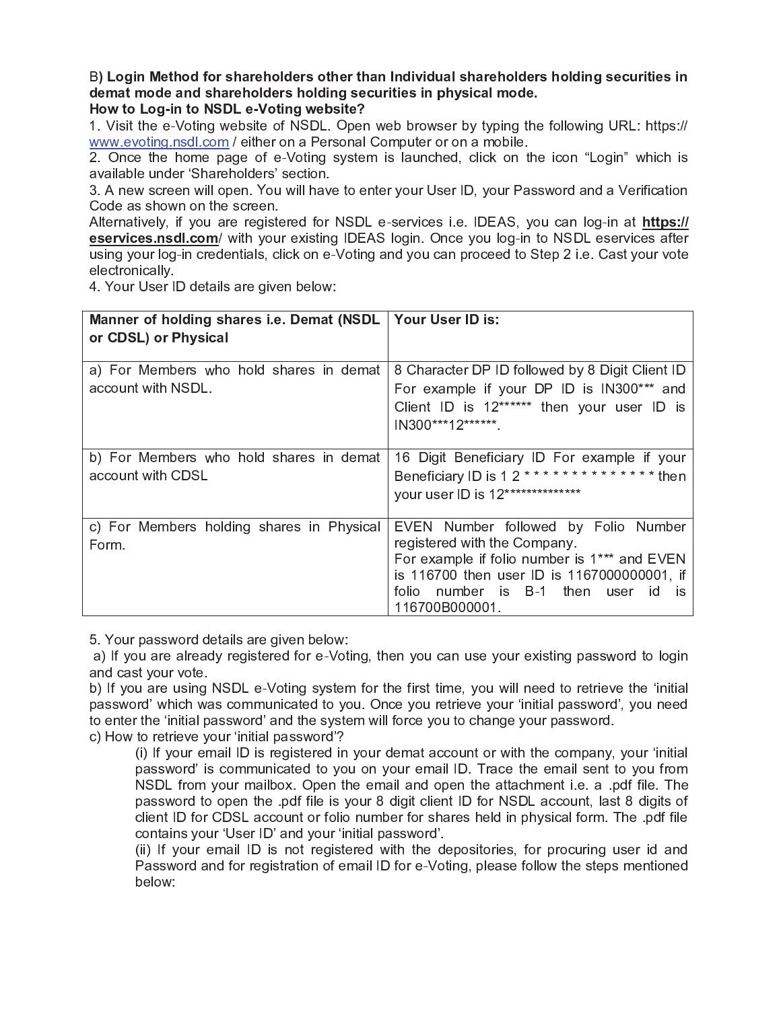# B) Login Method for shareholders other than Individual shareholders holding securities in demat mode and shareholders holding securities in physical mode.

# How to Log-in to NSDL e-Voting website?

1. Visit the e-Voting website of NSDL. Open web browser by typing the following URL: https:// www.evoting.nsdl.com / either on a Personal Computer or on a mobile.

2. Once the home page of e-Voting system is launched, click on the icon "Login" which is available under 'Shareholders' section.

3. A new screen will open. You will have to enter your User ID, your Password and a Verification Code as shown on the screen.

Alternatively, if you are registered for NSDL e-services i.e. IDEAS, you can log-in at https:// eservices.nsdl.com/ with your existing IDEAS login. Once you log-in to NSDL eservices after using your log-in credentials, click on e-Voting and you can proceed to Step 2 i.e. Cast your vote electronically.

4. Your User ID details are given below:

| Manner of holding shares i.e. Demat (NSDL   Your User ID is:<br>or CDSL) or Physical |                                                                                                                                                                                                                                          |
|--------------------------------------------------------------------------------------|------------------------------------------------------------------------------------------------------------------------------------------------------------------------------------------------------------------------------------------|
|                                                                                      |                                                                                                                                                                                                                                          |
| a) For Members who hold shares in demat<br>account with NSDL.                        | 8 Character DP ID followed by 8 Digit Client ID<br>For example if your DP ID is IN300*** and<br>Client ID is 12****** then your user ID is<br>IN300***12******.                                                                          |
| b) For Members who hold shares in demat<br>account with CDSL                         | 16 Digit Beneficiary ID For example if your<br>Beneficiary ID is 12 ************** then<br>your user ID is 12**************                                                                                                              |
| c) For Members holding shares in Physical<br>Form.                                   | EVEN Number followed by Folio Number<br>registered with the Company.<br>For example if folio number is 1*** and EVEN<br>is 116700 then user ID is 1167000000001, if<br>number is B-1 then user<br>folio –<br>-id<br>İS<br>116700B000001. |

5. Your password details are given below:

a) If you are already registered for e-Voting, then you can use your existing password to login and cast your vote.

b) If you are using NSDL e-Voting system for the first time, you will need to retrieve the 'initial password' which was communicated to you. Once you retrieve your 'initial password', you need to enter the 'initial password' and the system will force you to change your password.

c) How to retrieve your 'initial password'?

(i) If your email ID is registered in your demat account or with the company, your 'initial password' is communicated to you on your email ID. Trace the email sent to you from NSDL from your mailbox. Open the email and open the attachment i.e. a .pdf file. The password to open the .pdf file is your 8 digit client ID for NSDL account, last 8 digits of client ID for CDSL account or folio number for shares held in physical form. The pdf file contains your 'User ID' and your 'initial password'.

(ii) If your email ID is not registered with the depositories, for procuring user id and Password and for registration of email ID for e-Voting, please follow the steps mentioned below: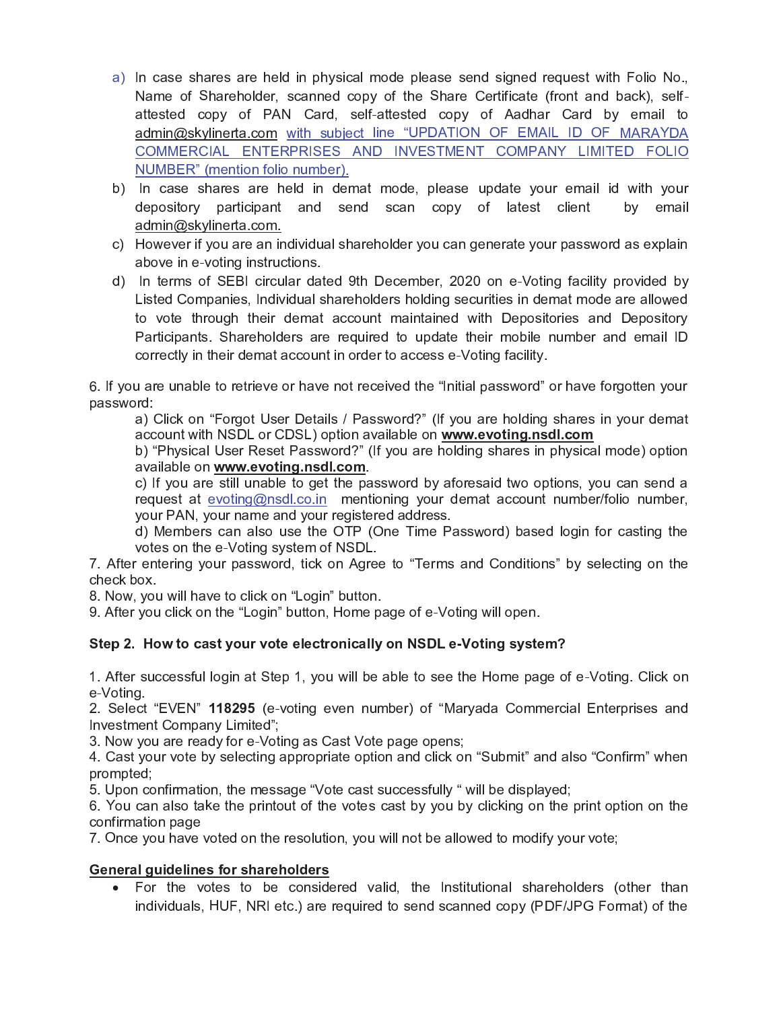- a) In case shares are held in physical mode please send signed request with Folio No., Name of Shareholder, scanned copy of the Share Certificate (front and back), selfattested copy of PAN Card, self-attested copy of Aadhar Card by email to admin@skylinerta.com with subject line "UPDATION OF EMAIL ID OF MARAYDA COMMERCIAL ENTERPRISES AND INVESTMENT COMPANY LIMITED FOLIO NUMBER" (mention folio number).
- b) In case shares are held in demat mode, please update your email id with your depository participant and send scan copy of latest client by email admin@skylinerta.com.
- c) However if you are an individual shareholder you can generate your password as explain above in e-voting instructions.
- d) In terms of SEBI circular dated 9th December, 2020 on e-Voting facility provided by Listed Companies, Individual shareholders holding securities in demat mode are allowed to vote through their demat account maintained with Depositories and Depository Participants. Shareholders are required to update their mobile number and email ID correctly in their demat account in order to access e-Voting facility.

6. If you are unable to retrieve or have not received the "lnitial password" or have forgotten your password:

a) Click on "Forgot User Details / Password?" (If you are holding shares in your demat account with NSDL or CDSL) option available on www.evoting.nsdl.com

b) "Physical User Reset Password?" (If you are holding shares in physical mode) option available on www.evoting.nsdl.com.

c) If you are still unable to get the password by aforesaid two options, you can send a request at evoting@nsdl.co.in mentioning your demat account number/folio number, your PAN, your name and your registered address.

d) Members can also use the OTP (One Time Password) based login for casting the votes on the e-Voting system of NSDL.

7. After entering your password, tick on Agree to "Terms and Conditions" by selecting on the check box.

8. Now, you will have to click on "Login" button.

9. After you click on the "Login" button, Home page of e-Voting will open.

# Step 2. How to cast your vote electronically on NSDL e-Voting system?

1. After successful login at Step 1, you will be able to see the Home page of e-Voting. Click on e-Voting.

2. Select "EVEN" 118295 (e-voting even number) of "Maryada Commercial Enterprises and Investment Company Limited";

3. Now you are ready for e-Voting as Cast Vote page opens;

4. Cast your vote by selecting appropriate option and click on "Submit" and also "Confirm" when prompted:

5. Upon confirmation, the message "Vote cast successfully " will be displayed;

6. You can also take the printout of the votes cast by you by clicking on the print option on the confirmation page

7. Once you have voted on the resolution, you will not be allowed to modify your vote;

# **General quidelines for shareholders**

• For the votes to be considered valid, the Institutional shareholders (other than individuals, HUF, NRI etc.) are required to send scanned copy (PDF/JPG Format) of the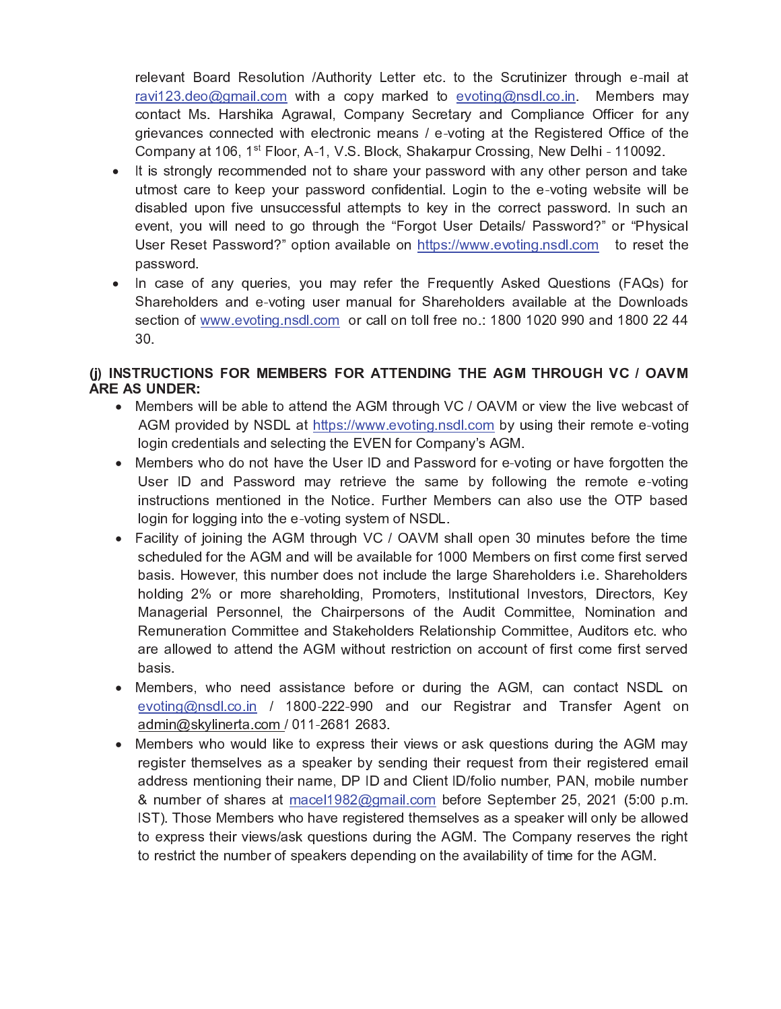relevant Board Resolution /Authority Letter etc. to the Scrutinizer through e-mail at ravi123.deo@gmail.com with a copy marked to evoting@nsdl.co.in. Members may contact Ms. Harshika Agrawal, Company Secretary and Compliance Officer for any grievances connected with electronic means / e-voting at the Registered Office of the Company at 106, 1<sup>st</sup> Floor, A-1, V.S. Block, Shakarpur Crossing, New Delhi - 110092.

- It is strongly recommended not to share your password with any other person and take utmost care to keep your password confidential. Login to the e-voting website will be disabled upon five unsuccessful attempts to key in the correct password. In such an event, you will need to go through the "Forgot User Details/ Password?" or "Physical User Reset Password?" option available on https://www.evoting.nsdl.com to reset the password.
- In case of any queries, you may refer the Frequently Asked Questions (FAQs) for Shareholders and e-voting user manual for Shareholders available at the Downloads section of www.evoting.nsdl.com or call on toll free no.: 1800 1020 990 and 1800 22 44 30.

# (i) INSTRUCTIONS FOR MEMBERS FOR ATTENDING THE AGM THROUGH VC / OAVM **ARE AS UNDER:**

- Members will be able to attend the AGM through VC / OAVM or view the live webcast of AGM provided by NSDL at https://www.evoting.nsdl.com by using their remote e-voting login credentials and selecting the EVEN for Company's AGM.
- Members who do not have the User ID and Password for e-voting or have forgotten the User ID and Password may retrieve the same by following the remote e-voting instructions mentioned in the Notice. Further Members can also use the OTP based login for logging into the e-voting system of NSDL.
- Facility of joining the AGM through VC / OAVM shall open 30 minutes before the time scheduled for the AGM and will be available for 1000 Members on first come first served basis. However, this number does not include the large Shareholders i.e. Shareholders holding 2% or more shareholding, Promoters, Institutional Investors, Directors, Key Managerial Personnel, the Chairpersons of the Audit Committee, Nomination and Remuneration Committee and Stakeholders Relationship Committee, Auditors etc. who are allowed to attend the AGM without restriction on account of first come first served basis.
- Members, who need assistance before or during the AGM, can contact NSDL on evoting@nsdl.co.in / 1800-222-990 and our Registrar and Transfer Agent on admin@skylinerta.com / 011-2681 2683.
- Members who would like to express their views or ask questions during the AGM may register themselves as a speaker by sending their request from their registered email address mentioning their name, DP ID and Client ID/folio number, PAN, mobile number & number of shares at macel1982@gmail.com before September 25, 2021 (5:00 p.m. IST). Those Members who have registered themselves as a speaker will only be allowed to express their views/ask questions during the AGM. The Company reserves the right to restrict the number of speakers depending on the availability of time for the AGM.